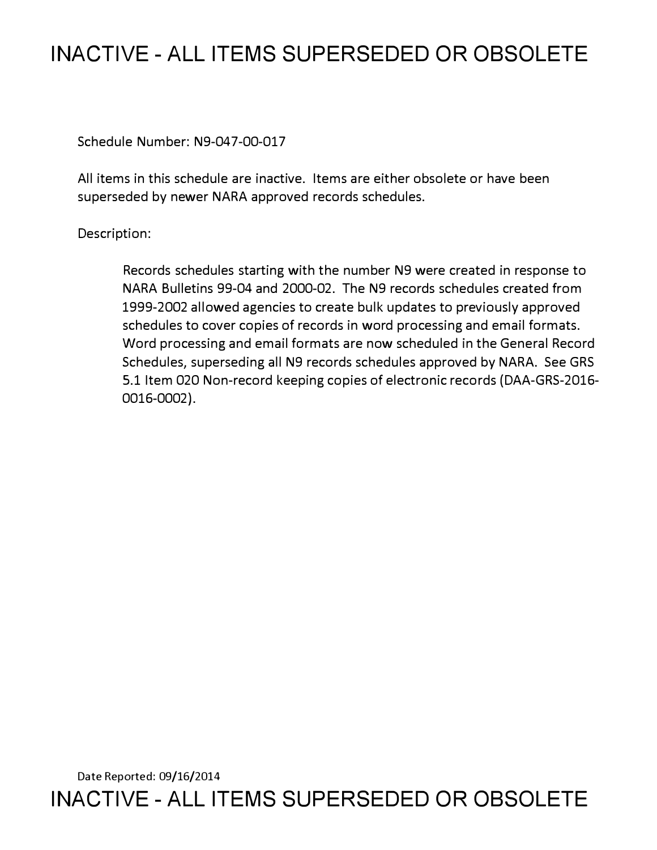## **INACTIVE - ALL ITEMS SUPERSEDED OR OBSOLETE**

Schedule Number: N9-047-00-017

All items in this schedule are inactive. Items are either obsolete or have been superseded by newer NARA approved records schedules.

Description:

Records schedules starting with the number N9 were created in response to NARA Bulletins 99-04 and 2000-02. The N9 records schedules created from 1999-2002 allowed agencies to create bulk updates to previously approved schedules to cover copies of records in word processing and email formats. Word processing and email formats are now scheduled in the General Record Schedules, superseding all N9 records schedules approved by NARA. See GRS 5.1 Item 020 Non-record keeping copies of electronic records (DAA-GRS-2016- 0016-0002).

Date Reported: 09/16/2014 **INACTIVE - ALL ITEMS SUPERSEDED OR OBSOLETE**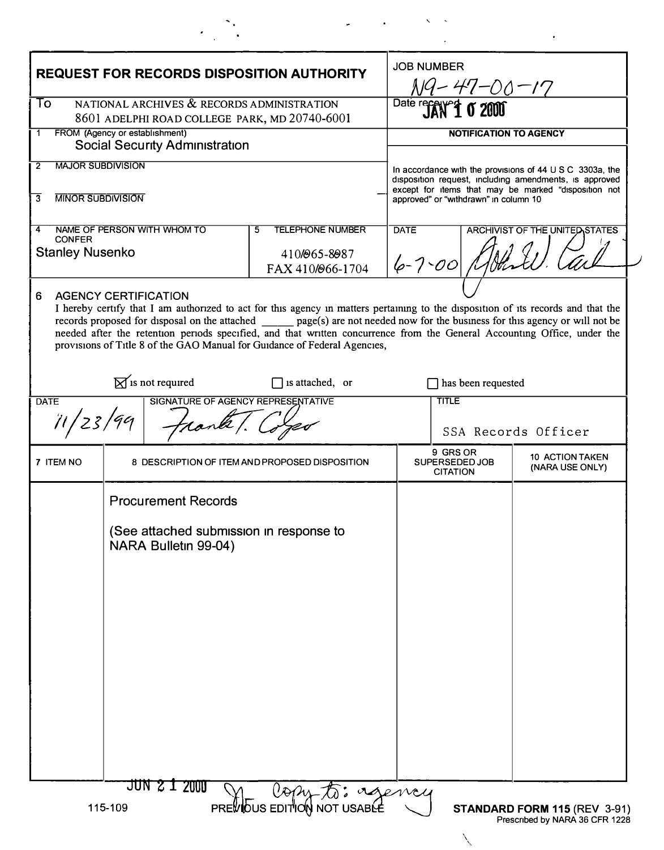| <b>REQUEST FOR RECORDS DISPOSITION AUTHORITY</b>                                                           |                                                                 |                                  |                                                                                                                                                                                                                                                                                                                                                                                                                                                                                |                                    | <b>JOB NUMBER</b><br>N9-47-00-17                                                                                                                                                                                                                                                 |                     |  |
|------------------------------------------------------------------------------------------------------------|-----------------------------------------------------------------|----------------------------------|--------------------------------------------------------------------------------------------------------------------------------------------------------------------------------------------------------------------------------------------------------------------------------------------------------------------------------------------------------------------------------------------------------------------------------------------------------------------------------|------------------------------------|----------------------------------------------------------------------------------------------------------------------------------------------------------------------------------------------------------------------------------------------------------------------------------|---------------------|--|
| NATIONAL ARCHIVES & RECORDS ADMINISTRATION<br>To<br>8601 ADELPHI ROAD COLLEGE PARK, MD 20740-6001          |                                                                 |                                  |                                                                                                                                                                                                                                                                                                                                                                                                                                                                                |                                    | Date received 0 2000                                                                                                                                                                                                                                                             |                     |  |
| FROM (Agency or establishment)<br><b>Social Security Administration</b>                                    |                                                                 |                                  |                                                                                                                                                                                                                                                                                                                                                                                                                                                                                |                                    | NOTIFICATION TO AGENCY                                                                                                                                                                                                                                                           |                     |  |
| <b>MAJOR SUBDIVISION</b><br>2                                                                              |                                                                 |                                  |                                                                                                                                                                                                                                                                                                                                                                                                                                                                                |                                    | In accordance with the provisions of $44 \cup S \subset 3303a$ , the<br>disposition request, including amendments, is approved<br>except for items that may be marked "disposition not<br>approved" or "withdrawn" in column 10<br><b>DATE</b><br>ARCHIVIST OF THE UNITED STATES |                     |  |
| <b>MINOR SUBDIVISION</b><br>3                                                                              |                                                                 |                                  |                                                                                                                                                                                                                                                                                                                                                                                                                                                                                |                                    |                                                                                                                                                                                                                                                                                  |                     |  |
| NAME OF PERSON WITH WHOM TO<br><b>TELEPHONE NUMBER</b><br>5<br><b>CONFER</b>                               |                                                                 |                                  |                                                                                                                                                                                                                                                                                                                                                                                                                                                                                |                                    |                                                                                                                                                                                                                                                                                  |                     |  |
| <b>Stanley Nusenko</b>                                                                                     |                                                                 | 410/065-8087<br>FAX 410/066-1704 | $6 - 7 - 00$                                                                                                                                                                                                                                                                                                                                                                                                                                                                   |                                    |                                                                                                                                                                                                                                                                                  |                     |  |
|                                                                                                            |                                                                 |                                  | I hereby certify that I am authorized to act for this agency in matters pertaining to the disposition of its records and that the<br>records proposed for disposal on the attached _______ page(s) are not needed now for the business for this agency or will not be<br>needed after the retention periods specified, and that written concurrence from the General Accounting Office, under the<br>provisions of Title 8 of the GAO Manual for Guidance of Federal Agencies, |                                    |                                                                                                                                                                                                                                                                                  |                     |  |
| $\boxtimes$ is not required<br>$\Box$ is attached, or<br>SIGNATURE OF AGENCY REPRESENTATIVE<br><b>DATE</b> |                                                                 |                                  |                                                                                                                                                                                                                                                                                                                                                                                                                                                                                | has been requested<br><b>TITLE</b> |                                                                                                                                                                                                                                                                                  |                     |  |
|                                                                                                            |                                                                 |                                  |                                                                                                                                                                                                                                                                                                                                                                                                                                                                                |                                    |                                                                                                                                                                                                                                                                                  | SSA Records Officer |  |
| 7 ITEM NO                                                                                                  | 8 DESCRIPTION OF ITEM AND PROPOSED DISPOSITION                  |                                  |                                                                                                                                                                                                                                                                                                                                                                                                                                                                                |                                    | 9 GRS OR<br><b>10 ACTION TAKEN</b><br>SUPERSEDED JOB<br>(NARA USE ONLY)<br><b>CITATION</b>                                                                                                                                                                                       |                     |  |
|                                                                                                            | <b>Procurement Records</b>                                      |                                  |                                                                                                                                                                                                                                                                                                                                                                                                                                                                                |                                    |                                                                                                                                                                                                                                                                                  |                     |  |
|                                                                                                            | (See attached submission in response to<br>NARA Bulletin 99-04) |                                  |                                                                                                                                                                                                                                                                                                                                                                                                                                                                                |                                    |                                                                                                                                                                                                                                                                                  |                     |  |
|                                                                                                            |                                                                 |                                  |                                                                                                                                                                                                                                                                                                                                                                                                                                                                                |                                    |                                                                                                                                                                                                                                                                                  |                     |  |
|                                                                                                            |                                                                 |                                  |                                                                                                                                                                                                                                                                                                                                                                                                                                                                                |                                    |                                                                                                                                                                                                                                                                                  |                     |  |
|                                                                                                            |                                                                 |                                  |                                                                                                                                                                                                                                                                                                                                                                                                                                                                                |                                    |                                                                                                                                                                                                                                                                                  |                     |  |
|                                                                                                            |                                                                 |                                  |                                                                                                                                                                                                                                                                                                                                                                                                                                                                                |                                    |                                                                                                                                                                                                                                                                                  |                     |  |
|                                                                                                            |                                                                 |                                  |                                                                                                                                                                                                                                                                                                                                                                                                                                                                                |                                    |                                                                                                                                                                                                                                                                                  |                     |  |
|                                                                                                            |                                                                 |                                  |                                                                                                                                                                                                                                                                                                                                                                                                                                                                                |                                    |                                                                                                                                                                                                                                                                                  |                     |  |
|                                                                                                            |                                                                 |                                  |                                                                                                                                                                                                                                                                                                                                                                                                                                                                                |                                    |                                                                                                                                                                                                                                                                                  |                     |  |

 $\sim 1000$   $\sim$ 

 $\hat{\mathbf{r}}$ 

 $\mathcal{L}^{\mathcal{L}}(\mathcal{L}^{\mathcal{L}}(\mathcal{L}^{\mathcal{L}}(\mathcal{L}^{\mathcal{L}}(\mathcal{L}^{\mathcal{L}}(\mathcal{L}^{\mathcal{L}}(\mathcal{L}^{\mathcal{L}}(\mathcal{L}^{\mathcal{L}}(\mathcal{L}^{\mathcal{L}}(\mathcal{L}^{\mathcal{L}}(\mathcal{L}^{\mathcal{L}}(\mathcal{L}^{\mathcal{L}}(\mathcal{L}^{\mathcal{L}}(\mathcal{L}^{\mathcal{L}}(\mathcal{L}^{\mathcal{L}}(\mathcal{L}^{\mathcal{L}}(\mathcal{L}^{\mathcal{L$ 

 $\downarrow$ 

 $\epsilon_{\rm{max}}$ 

 $\sum_{i=1}^{n}$